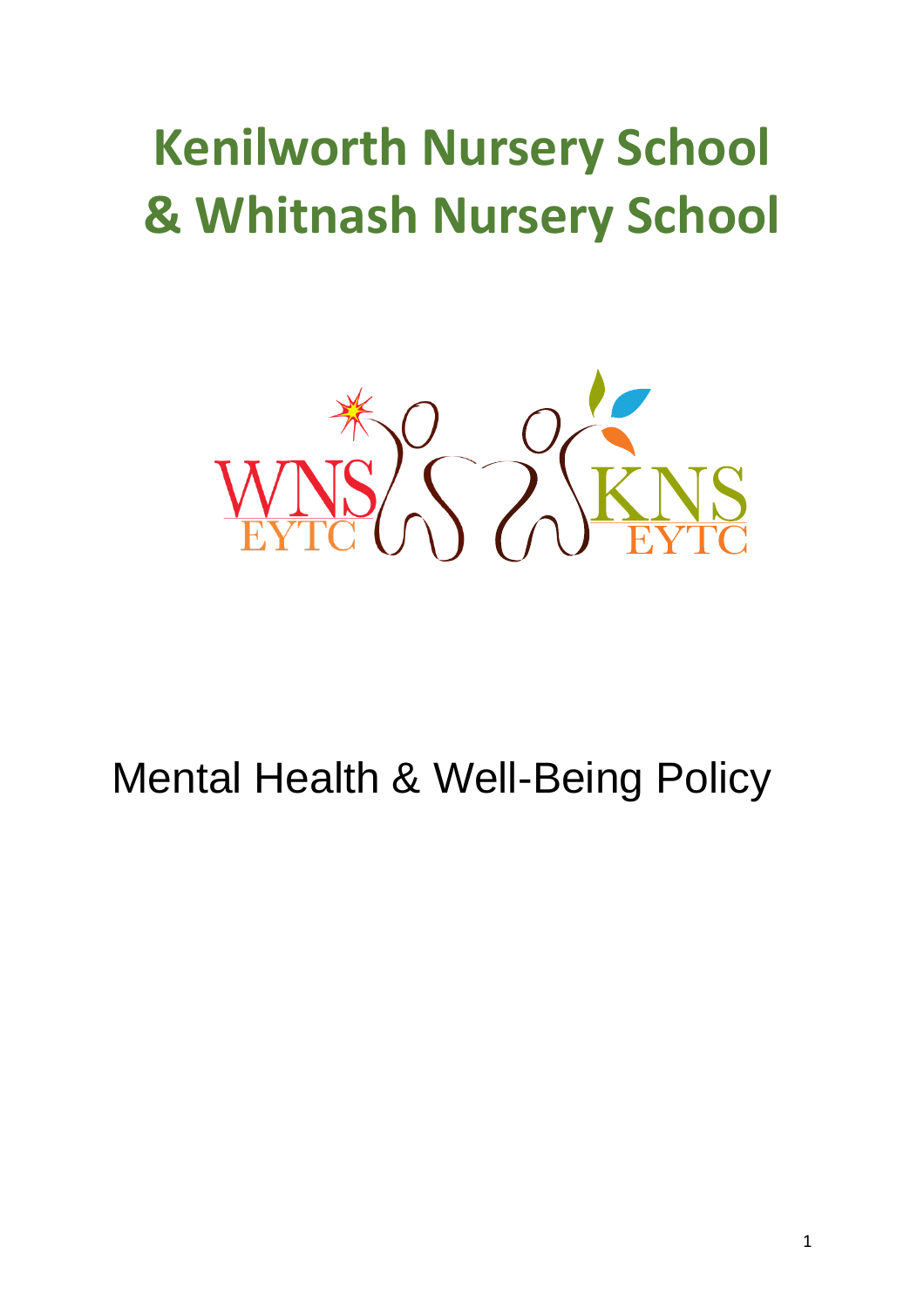# **Kenilworth Nursery School & Whitnash Nursery School**



# Mental Health & Well-Being Policy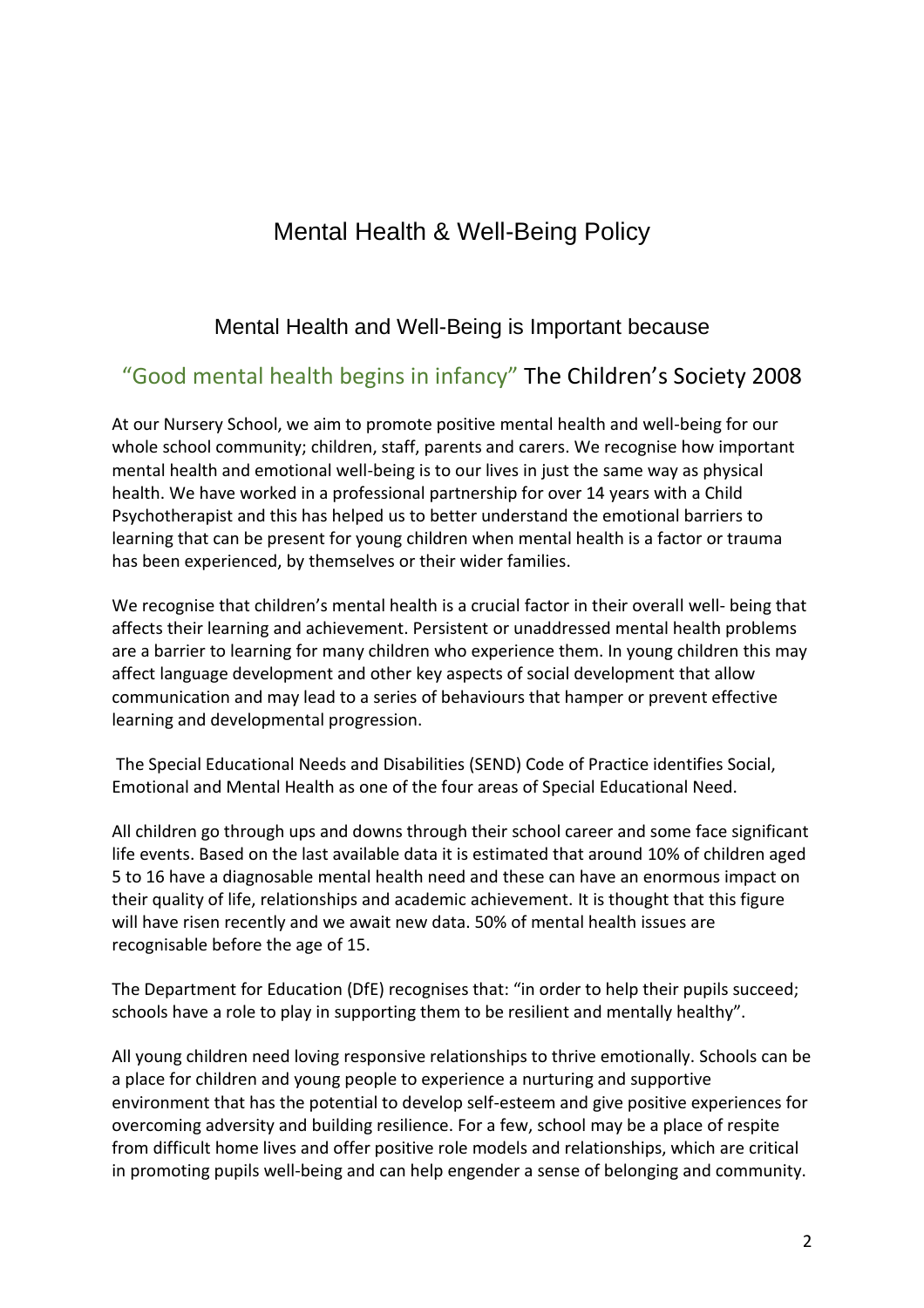# Mental Health & Well-Being Policy

### Mental Health and Well-Being is Important because

## "Good mental health begins in infancy" The Children's Society 2008

At our Nursery School, we aim to promote positive mental health and well-being for our whole school community; children, staff, parents and carers. We recognise how important mental health and emotional well-being is to our lives in just the same way as physical health. We have worked in a professional partnership for over 14 years with a Child Psychotherapist and this has helped us to better understand the emotional barriers to learning that can be present for young children when mental health is a factor or trauma has been experienced, by themselves or their wider families.

We recognise that children's mental health is a crucial factor in their overall well- being that affects their learning and achievement. Persistent or unaddressed mental health problems are a barrier to learning for many children who experience them. In young children this may affect language development and other key aspects of social development that allow communication and may lead to a series of behaviours that hamper or prevent effective learning and developmental progression.

The Special Educational Needs and Disabilities (SEND) Code of Practice identifies Social, Emotional and Mental Health as one of the four areas of Special Educational Need.

All children go through ups and downs through their school career and some face significant life events. Based on the last available data it is estimated that around 10% of children aged 5 to 16 have a diagnosable mental health need and these can have an enormous impact on their quality of life, relationships and academic achievement. It is thought that this figure will have risen recently and we await new data. 50% of mental health issues are recognisable before the age of 15.

The Department for Education (DfE) recognises that: "in order to help their pupils succeed; schools have a role to play in supporting them to be resilient and mentally healthy".

All young children need loving responsive relationships to thrive emotionally. Schools can be a place for children and young people to experience a nurturing and supportive environment that has the potential to develop self-esteem and give positive experiences for overcoming adversity and building resilience. For a few, school may be a place of respite from difficult home lives and offer positive role models and relationships, which are critical in promoting pupils well-being and can help engender a sense of belonging and community.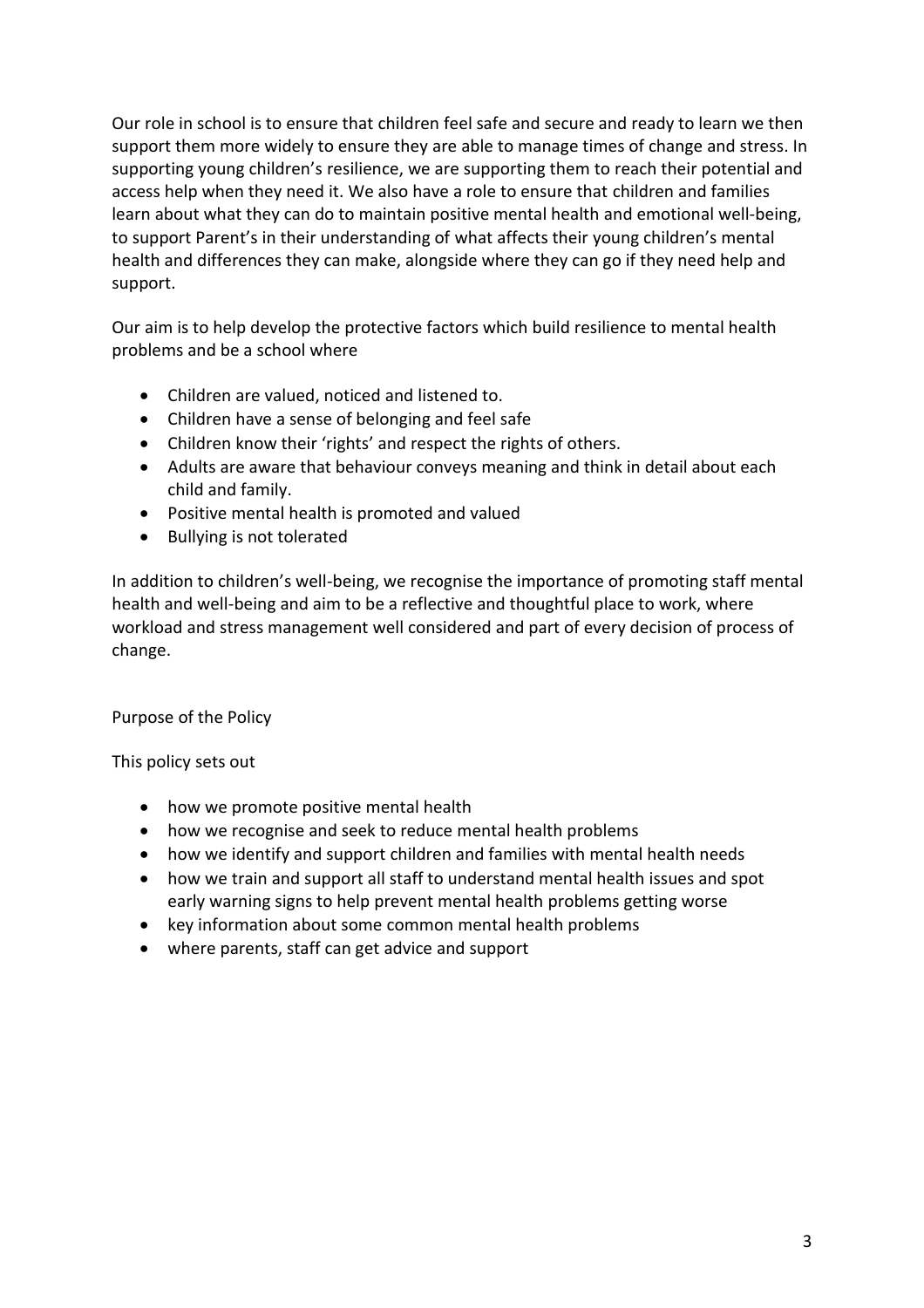Our role in school is to ensure that children feel safe and secure and ready to learn we then support them more widely to ensure they are able to manage times of change and stress. In supporting young children's resilience, we are supporting them to reach their potential and access help when they need it. We also have a role to ensure that children and families learn about what they can do to maintain positive mental health and emotional well-being, to support Parent's in their understanding of what affects their young children's mental health and differences they can make, alongside where they can go if they need help and support.

Our aim is to help develop the protective factors which build resilience to mental health problems and be a school where

- Children are valued, noticed and listened to.
- Children have a sense of belonging and feel safe
- Children know their 'rights' and respect the rights of others.
- Adults are aware that behaviour conveys meaning and think in detail about each child and family.
- Positive mental health is promoted and valued
- Bullying is not tolerated

In addition to children's well-being, we recognise the importance of promoting staff mental health and well-being and aim to be a reflective and thoughtful place to work, where workload and stress management well considered and part of every decision of process of change.

Purpose of the Policy

This policy sets out

- how we promote positive mental health
- how we recognise and seek to reduce mental health problems
- how we identify and support children and families with mental health needs
- how we train and support all staff to understand mental health issues and spot early warning signs to help prevent mental health problems getting worse
- key information about some common mental health problems
- where parents, staff can get advice and support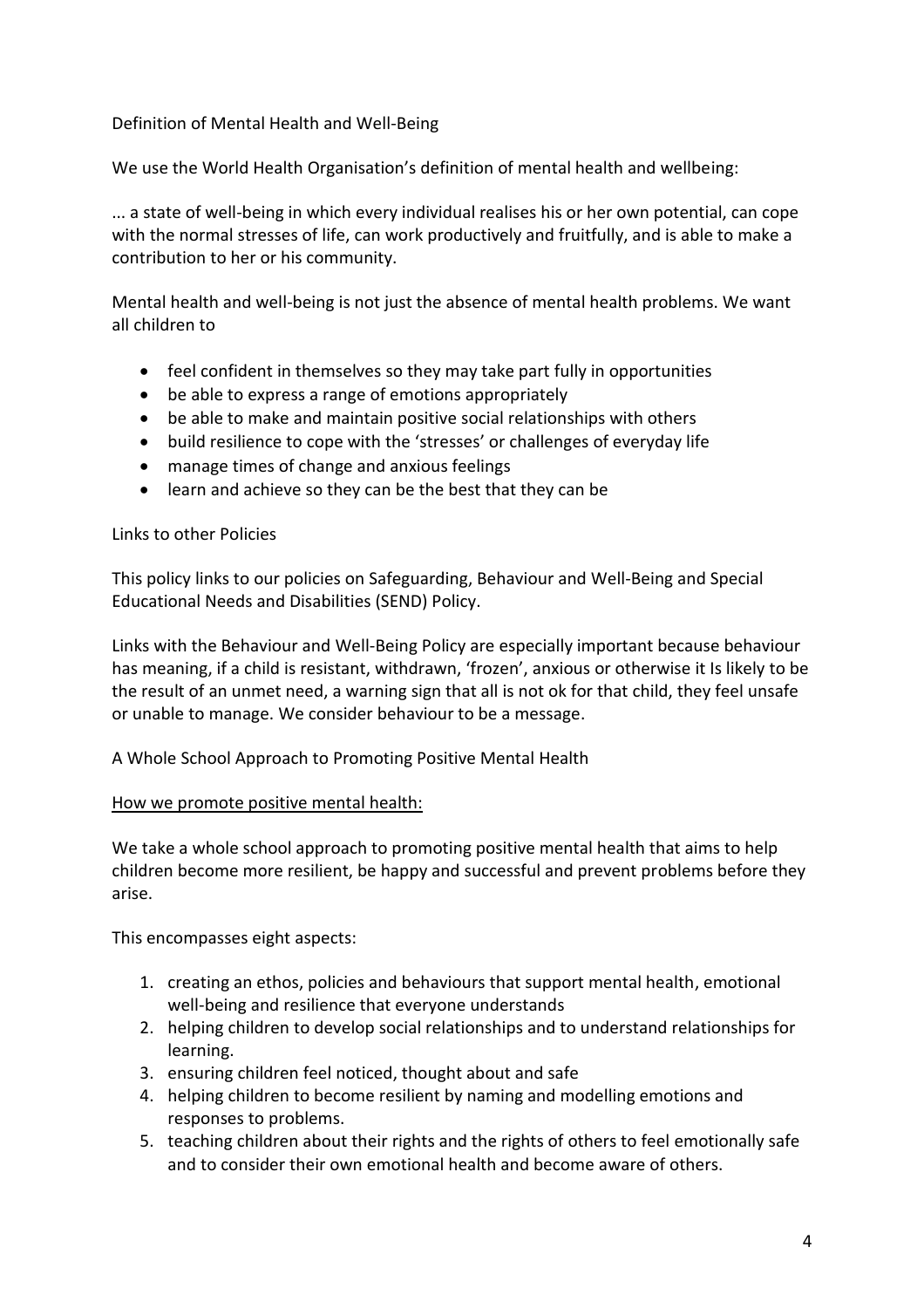#### Definition of Mental Health and Well-Being

We use the World Health Organisation's definition of mental health and wellbeing:

... a state of well-being in which every individual realises his or her own potential, can cope with the normal stresses of life, can work productively and fruitfully, and is able to make a contribution to her or his community.

Mental health and well-being is not just the absence of mental health problems. We want all children to

- feel confident in themselves so they may take part fully in opportunities
- be able to express a range of emotions appropriately
- be able to make and maintain positive social relationships with others
- build resilience to cope with the 'stresses' or challenges of everyday life
- manage times of change and anxious feelings
- learn and achieve so they can be the best that they can be

#### Links to other Policies

This policy links to our policies on Safeguarding, Behaviour and Well-Being and Special Educational Needs and Disabilities (SEND) Policy.

Links with the Behaviour and Well-Being Policy are especially important because behaviour has meaning, if a child is resistant, withdrawn, 'frozen', anxious or otherwise it Is likely to be the result of an unmet need, a warning sign that all is not ok for that child, they feel unsafe or unable to manage. We consider behaviour to be a message.

A Whole School Approach to Promoting Positive Mental Health

#### How we promote positive mental health:

We take a whole school approach to promoting positive mental health that aims to help children become more resilient, be happy and successful and prevent problems before they arise.

This encompasses eight aspects:

- 1. creating an ethos, policies and behaviours that support mental health, emotional well-being and resilience that everyone understands
- 2. helping children to develop social relationships and to understand relationships for learning.
- 3. ensuring children feel noticed, thought about and safe
- 4. helping children to become resilient by naming and modelling emotions and responses to problems.
- 5. teaching children about their rights and the rights of others to feel emotionally safe and to consider their own emotional health and become aware of others.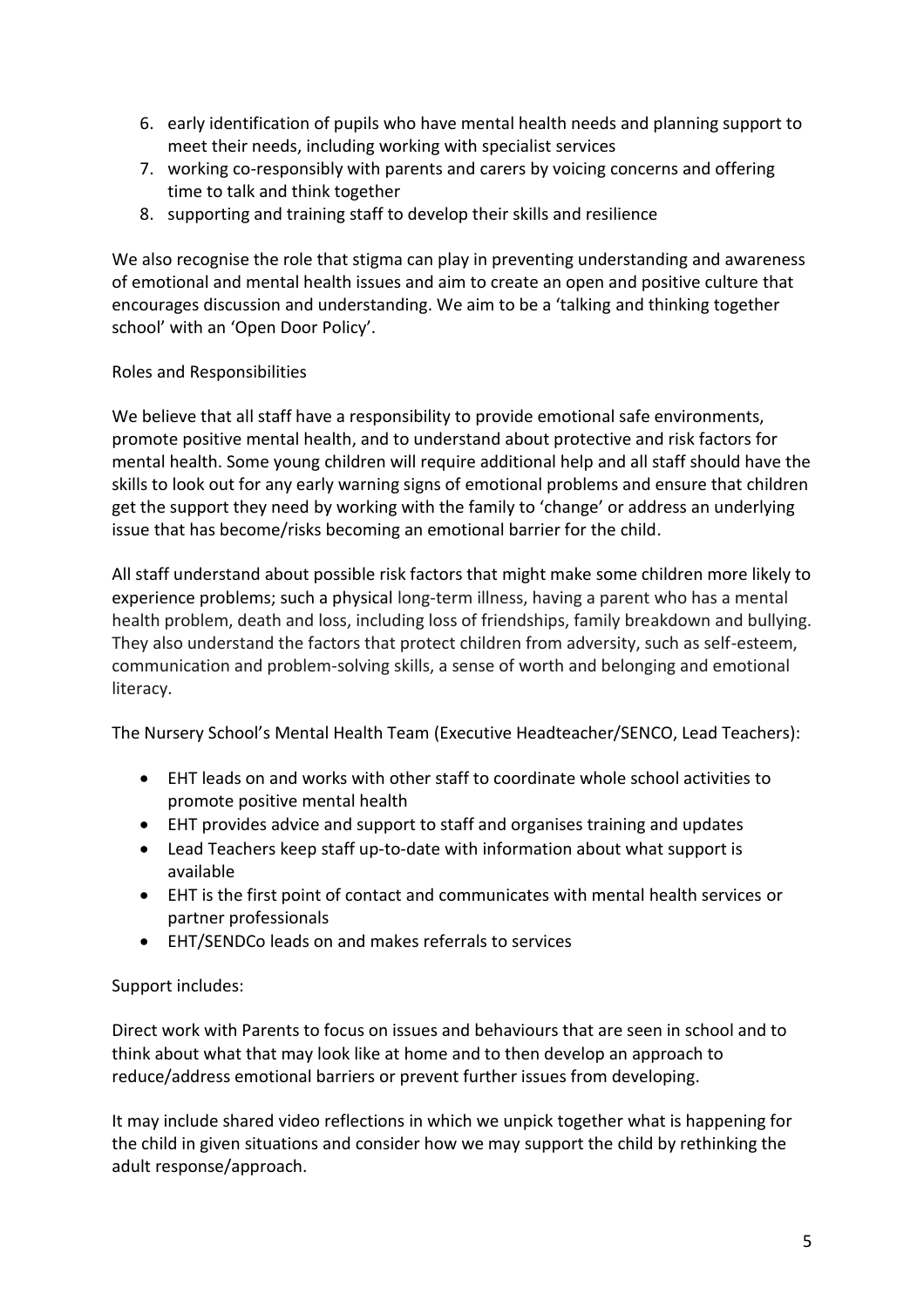- 6. early identification of pupils who have mental health needs and planning support to meet their needs, including working with specialist services
- 7. working co-responsibly with parents and carers by voicing concerns and offering time to talk and think together
- 8. supporting and training staff to develop their skills and resilience

We also recognise the role that stigma can play in preventing understanding and awareness of emotional and mental health issues and aim to create an open and positive culture that encourages discussion and understanding. We aim to be a 'talking and thinking together school' with an 'Open Door Policy'.

#### Roles and Responsibilities

We believe that all staff have a responsibility to provide emotional safe environments, promote positive mental health, and to understand about protective and risk factors for mental health. Some young children will require additional help and all staff should have the skills to look out for any early warning signs of emotional problems and ensure that children get the support they need by working with the family to 'change' or address an underlying issue that has become/risks becoming an emotional barrier for the child.

All staff understand about possible risk factors that might make some children more likely to experience problems; such a physical long-term illness, having a parent who has a mental health problem, death and loss, including loss of friendships, family breakdown and bullying. They also understand the factors that protect children from adversity, such as self-esteem, communication and problem-solving skills, a sense of worth and belonging and emotional literacy.

The Nursery School's Mental Health Team (Executive Headteacher/SENCO, Lead Teachers):

- EHT leads on and works with other staff to coordinate whole school activities to promote positive mental health
- EHT provides advice and support to staff and organises training and updates
- Lead Teachers keep staff up-to-date with information about what support is available
- EHT is the first point of contact and communicates with mental health services or partner professionals
- EHT/SENDCo leads on and makes referrals to services

#### Support includes:

Direct work with Parents to focus on issues and behaviours that are seen in school and to think about what that may look like at home and to then develop an approach to reduce/address emotional barriers or prevent further issues from developing.

It may include shared video reflections in which we unpick together what is happening for the child in given situations and consider how we may support the child by rethinking the adult response/approach.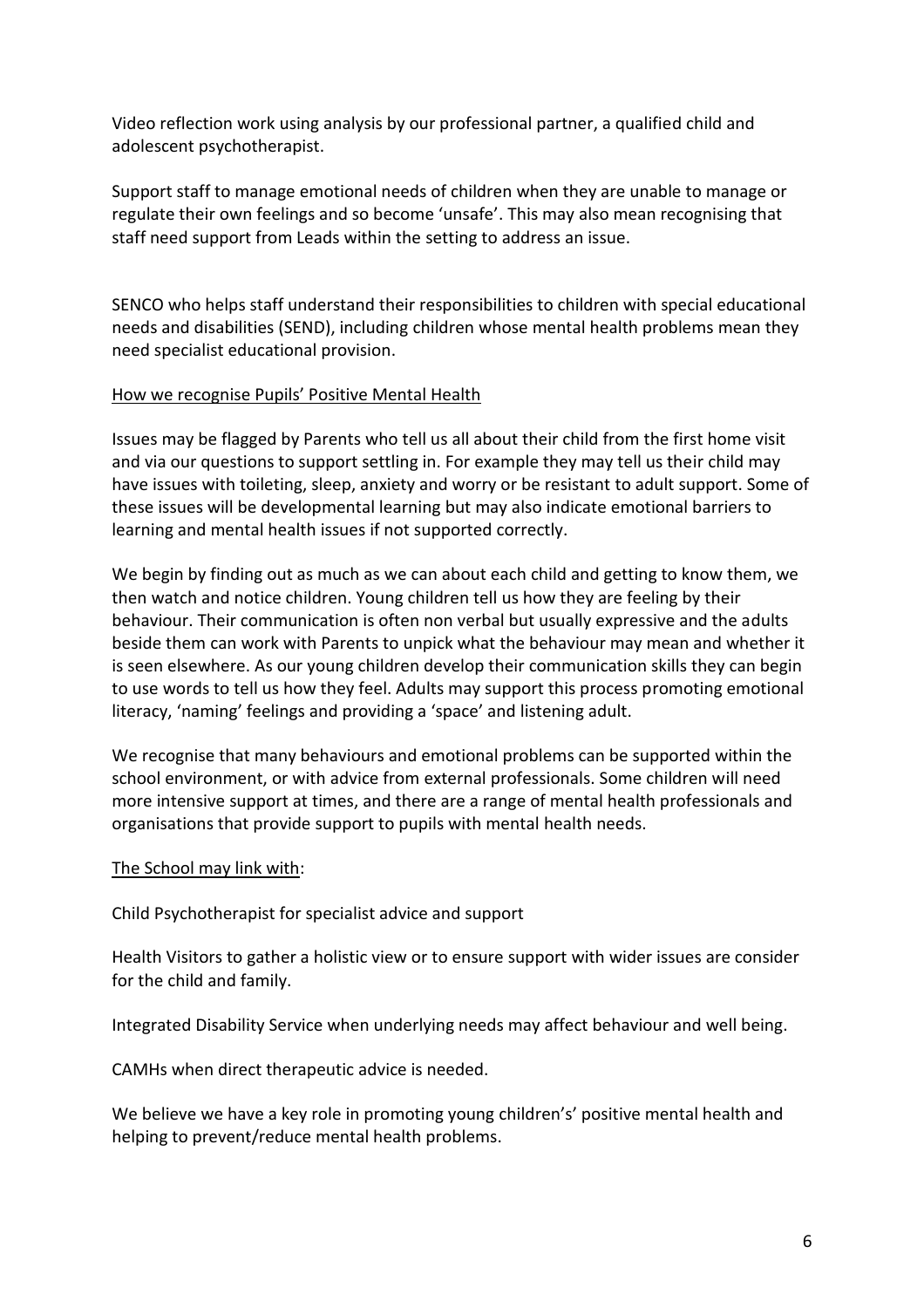Video reflection work using analysis by our professional partner, a qualified child and adolescent psychotherapist.

Support staff to manage emotional needs of children when they are unable to manage or regulate their own feelings and so become 'unsafe'. This may also mean recognising that staff need support from Leads within the setting to address an issue.

SENCO who helps staff understand their responsibilities to children with special educational needs and disabilities (SEND), including children whose mental health problems mean they need specialist educational provision.

#### How we recognise Pupils' Positive Mental Health

Issues may be flagged by Parents who tell us all about their child from the first home visit and via our questions to support settling in. For example they may tell us their child may have issues with toileting, sleep, anxiety and worry or be resistant to adult support. Some of these issues will be developmental learning but may also indicate emotional barriers to learning and mental health issues if not supported correctly.

We begin by finding out as much as we can about each child and getting to know them, we then watch and notice children. Young children tell us how they are feeling by their behaviour. Their communication is often non verbal but usually expressive and the adults beside them can work with Parents to unpick what the behaviour may mean and whether it is seen elsewhere. As our young children develop their communication skills they can begin to use words to tell us how they feel. Adults may support this process promoting emotional literacy, 'naming' feelings and providing a 'space' and listening adult.

We recognise that many behaviours and emotional problems can be supported within the school environment, or with advice from external professionals. Some children will need more intensive support at times, and there are a range of mental health professionals and organisations that provide support to pupils with mental health needs.

#### The School may link with:

Child Psychotherapist for specialist advice and support

Health Visitors to gather a holistic view or to ensure support with wider issues are consider for the child and family.

Integrated Disability Service when underlying needs may affect behaviour and well being.

CAMHs when direct therapeutic advice is needed.

We believe we have a key role in promoting young children's' positive mental health and helping to prevent/reduce mental health problems.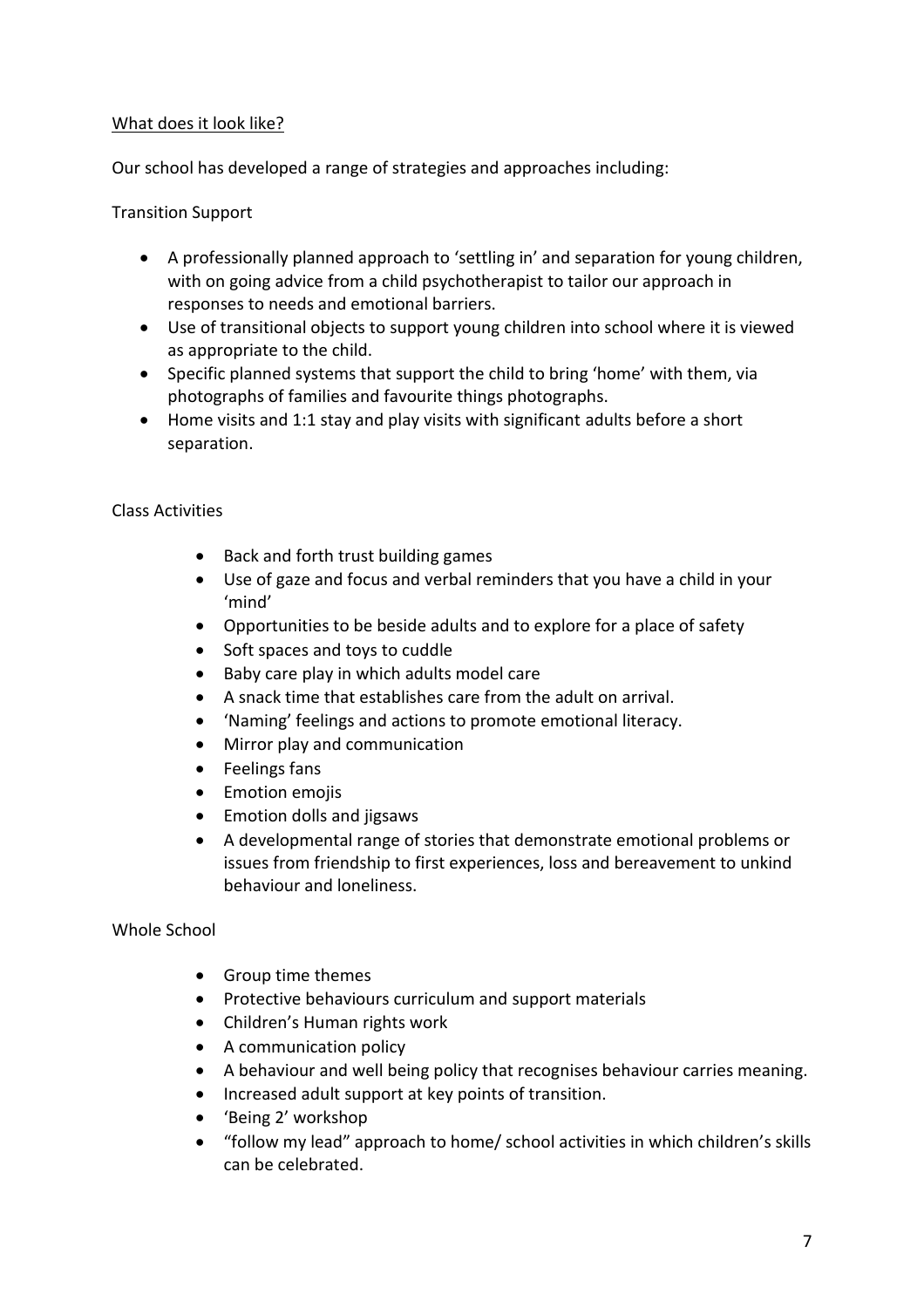#### What does it look like?

Our school has developed a range of strategies and approaches including:

Transition Support

- A professionally planned approach to 'settling in' and separation for young children, with on going advice from a child psychotherapist to tailor our approach in responses to needs and emotional barriers.
- Use of transitional objects to support young children into school where it is viewed as appropriate to the child.
- Specific planned systems that support the child to bring 'home' with them, via photographs of families and favourite things photographs.
- Home visits and 1:1 stay and play visits with significant adults before a short separation.

#### Class Activities

- Back and forth trust building games
- Use of gaze and focus and verbal reminders that you have a child in your 'mind'
- Opportunities to be beside adults and to explore for a place of safety
- Soft spaces and toys to cuddle
- Baby care play in which adults model care
- A snack time that establishes care from the adult on arrival.
- 'Naming' feelings and actions to promote emotional literacy.
- Mirror play and communication
- Feelings fans
- **•** Emotion emojis
- Emotion dolls and jigsaws
- A developmental range of stories that demonstrate emotional problems or issues from friendship to first experiences, loss and bereavement to unkind behaviour and loneliness.

#### Whole School

- Group time themes
- Protective behaviours curriculum and support materials
- Children's Human rights work
- A communication policy
- A behaviour and well being policy that recognises behaviour carries meaning.
- Increased adult support at key points of transition.
- 'Being 2' workshop
- "follow my lead" approach to home/ school activities in which children's skills can be celebrated.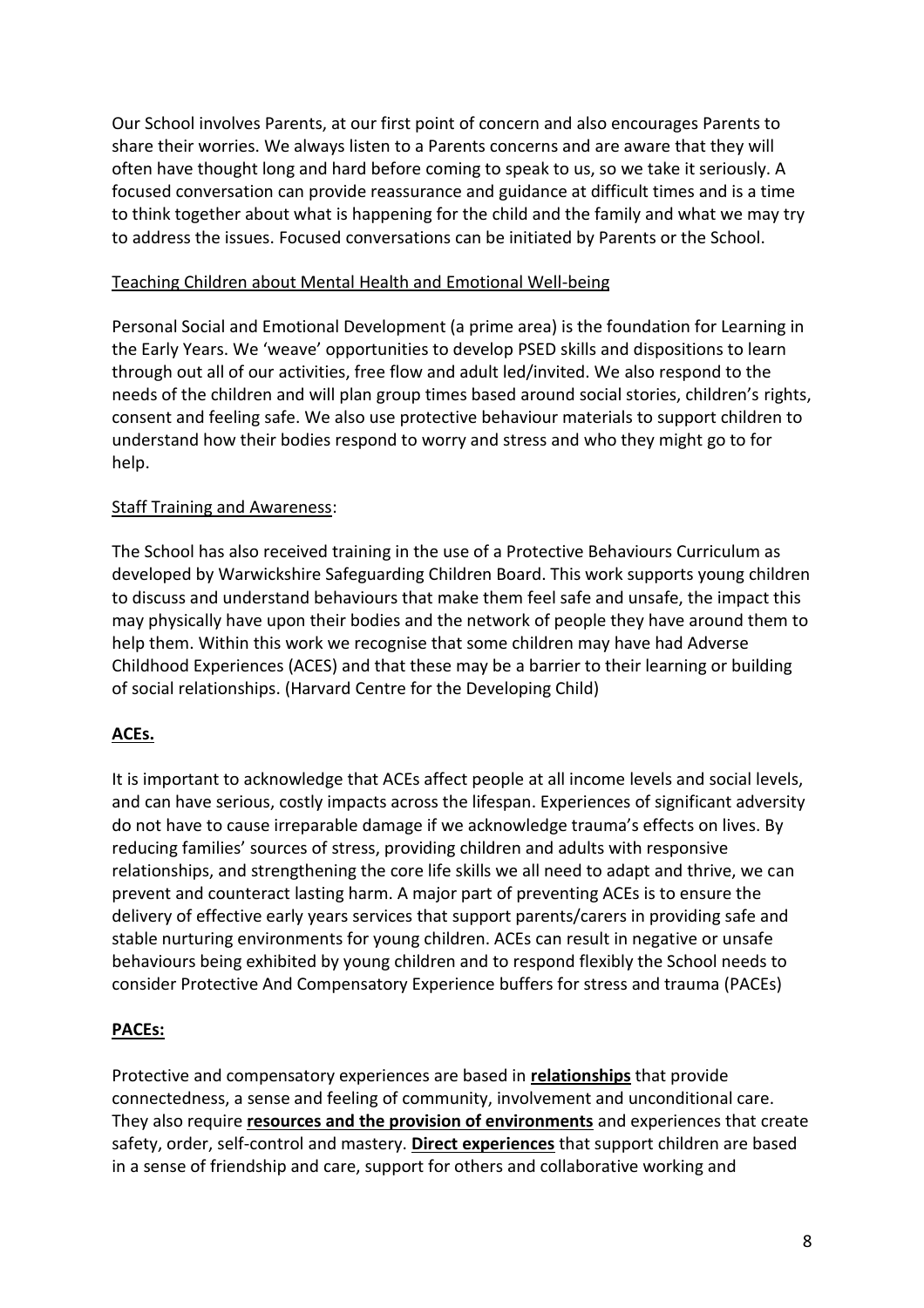Our School involves Parents, at our first point of concern and also encourages Parents to share their worries. We always listen to a Parents concerns and are aware that they will often have thought long and hard before coming to speak to us, so we take it seriously. A focused conversation can provide reassurance and guidance at difficult times and is a time to think together about what is happening for the child and the family and what we may try to address the issues. Focused conversations can be initiated by Parents or the School.

#### Teaching Children about Mental Health and Emotional Well-being

Personal Social and Emotional Development (a prime area) is the foundation for Learning in the Early Years. We 'weave' opportunities to develop PSED skills and dispositions to learn through out all of our activities, free flow and adult led/invited. We also respond to the needs of the children and will plan group times based around social stories, children's rights, consent and feeling safe. We also use protective behaviour materials to support children to understand how their bodies respond to worry and stress and who they might go to for help.

#### Staff Training and Awareness:

The School has also received training in the use of a Protective Behaviours Curriculum as developed by Warwickshire Safeguarding Children Board. This work supports young children to discuss and understand behaviours that make them feel safe and unsafe, the impact this may physically have upon their bodies and the network of people they have around them to help them. Within this work we recognise that some children may have had Adverse Childhood Experiences (ACES) and that these may be a barrier to their learning or building of social relationships. (Harvard Centre for the Developing Child)

#### **ACEs.**

It is important to acknowledge that ACEs affect people at all income levels and social levels, and can have serious, costly impacts across the lifespan. Experiences of significant adversity do not have to cause irreparable damage if we acknowledge trauma's effects on lives. By reducing families' sources of stress, providing children and adults with responsive relationships, and strengthening the core life skills we all need to adapt and thrive, we can prevent and counteract lasting harm. A major part of preventing ACEs is to ensure the delivery of effective early years services that support parents/carers in providing safe and stable nurturing environments for young children. ACEs can result in negative or unsafe behaviours being exhibited by young children and to respond flexibly the School needs to consider Protective And Compensatory Experience buffers for stress and trauma (PACEs)

#### **PACEs:**

Protective and compensatory experiences are based in **relationships** that provide connectedness, a sense and feeling of community, involvement and unconditional care. They also require **resources and the provision of environments** and experiences that create safety, order, self-control and mastery. **Direct experiences** that support children are based in a sense of friendship and care, support for others and collaborative working and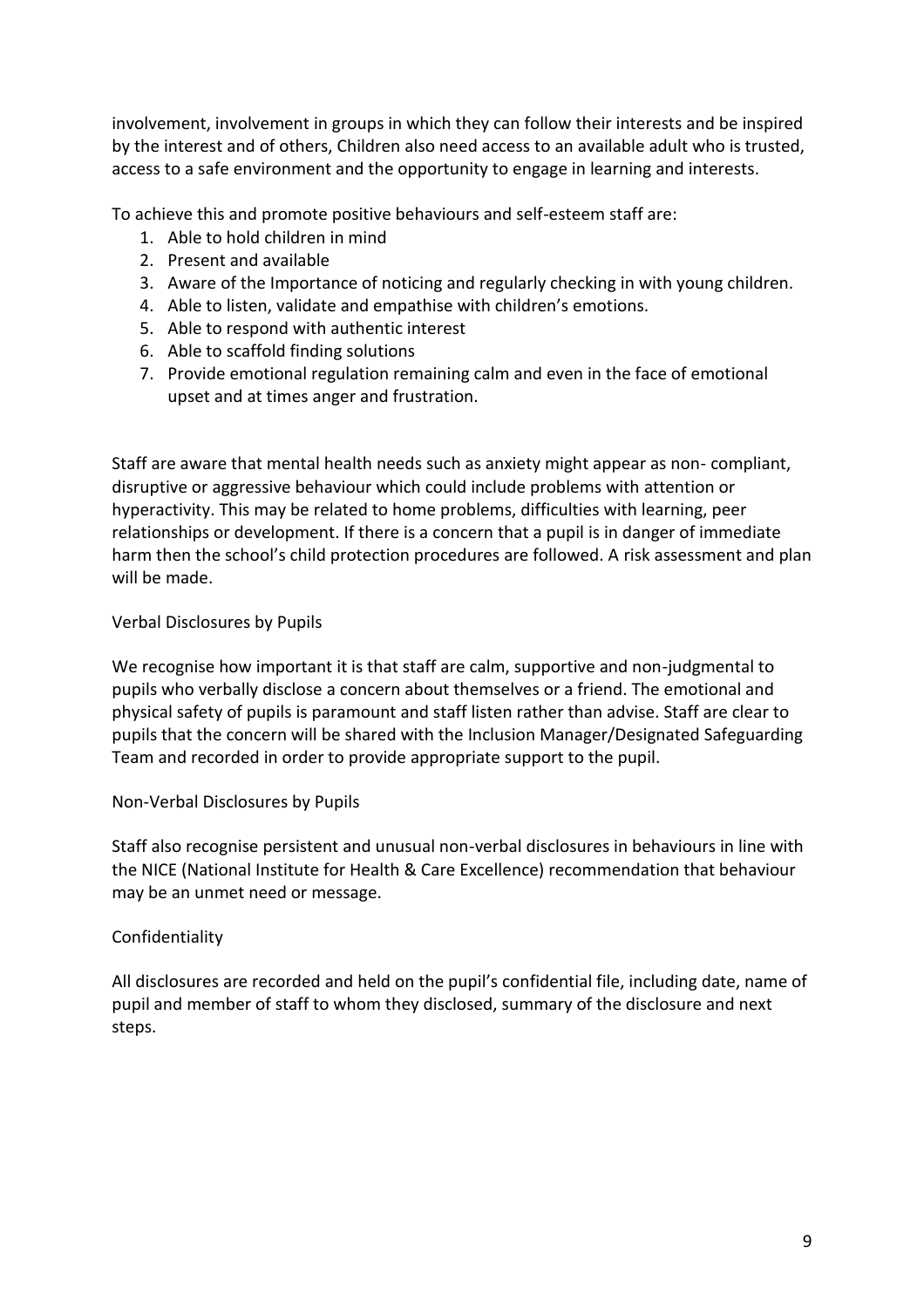involvement, involvement in groups in which they can follow their interests and be inspired by the interest and of others, Children also need access to an available adult who is trusted, access to a safe environment and the opportunity to engage in learning and interests.

To achieve this and promote positive behaviours and self-esteem staff are:

- 1. Able to hold children in mind
- 2. Present and available
- 3. Aware of the Importance of noticing and regularly checking in with young children.
- 4. Able to listen, validate and empathise with children's emotions.
- 5. Able to respond with authentic interest
- 6. Able to scaffold finding solutions
- 7. Provide emotional regulation remaining calm and even in the face of emotional upset and at times anger and frustration.

Staff are aware that mental health needs such as anxiety might appear as non- compliant, disruptive or aggressive behaviour which could include problems with attention or hyperactivity. This may be related to home problems, difficulties with learning, peer relationships or development. If there is a concern that a pupil is in danger of immediate harm then the school's child protection procedures are followed. A risk assessment and plan will be made.

#### Verbal Disclosures by Pupils

We recognise how important it is that staff are calm, supportive and non-judgmental to pupils who verbally disclose a concern about themselves or a friend. The emotional and physical safety of pupils is paramount and staff listen rather than advise. Staff are clear to pupils that the concern will be shared with the Inclusion Manager/Designated Safeguarding Team and recorded in order to provide appropriate support to the pupil.

#### Non-Verbal Disclosures by Pupils

Staff also recognise persistent and unusual non-verbal disclosures in behaviours in line with the NICE (National Institute for Health & Care Excellence) recommendation that behaviour may be an unmet need or message.

#### Confidentiality

All disclosures are recorded and held on the pupil's confidential file, including date, name of pupil and member of staff to whom they disclosed, summary of the disclosure and next steps.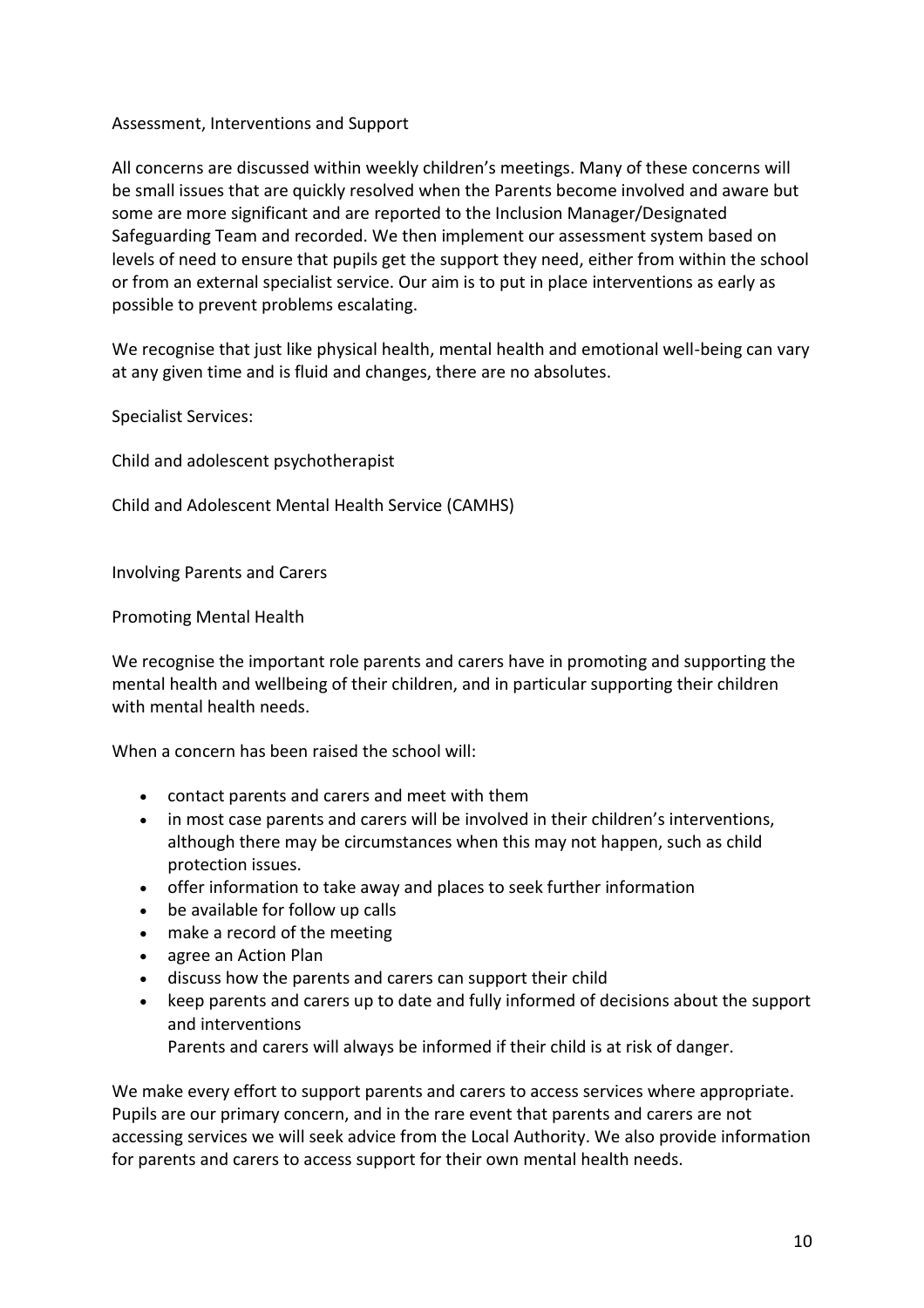#### Assessment, Interventions and Support

All concerns are discussed within weekly children's meetings. Many of these concerns will be small issues that are quickly resolved when the Parents become involved and aware but some are more significant and are reported to the Inclusion Manager/Designated Safeguarding Team and recorded. We then implement our assessment system based on levels of need to ensure that pupils get the support they need, either from within the school or from an external specialist service. Our aim is to put in place interventions as early as possible to prevent problems escalating.

We recognise that just like physical health, mental health and emotional well-being can vary at any given time and is fluid and changes, there are no absolutes.

Specialist Services:

Child and adolescent psychotherapist

Child and Adolescent Mental Health Service (CAMHS)

Involving Parents and Carers

Promoting Mental Health

We recognise the important role parents and carers have in promoting and supporting the mental health and wellbeing of their children, and in particular supporting their children with mental health needs.

When a concern has been raised the school will:

- contact parents and carers and meet with them
- in most case parents and carers will be involved in their children's interventions, although there may be circumstances when this may not happen, such as child protection issues.
- offer information to take away and places to seek further information
- be available for follow up calls
- make a record of the meeting
- agree an Action Plan
- discuss how the parents and carers can support their child
- keep parents and carers up to date and fully informed of decisions about the support and interventions

Parents and carers will always be informed if their child is at risk of danger.

We make every effort to support parents and carers to access services where appropriate. Pupils are our primary concern, and in the rare event that parents and carers are not accessing services we will seek advice from the Local Authority. We also provide information for parents and carers to access support for their own mental health needs.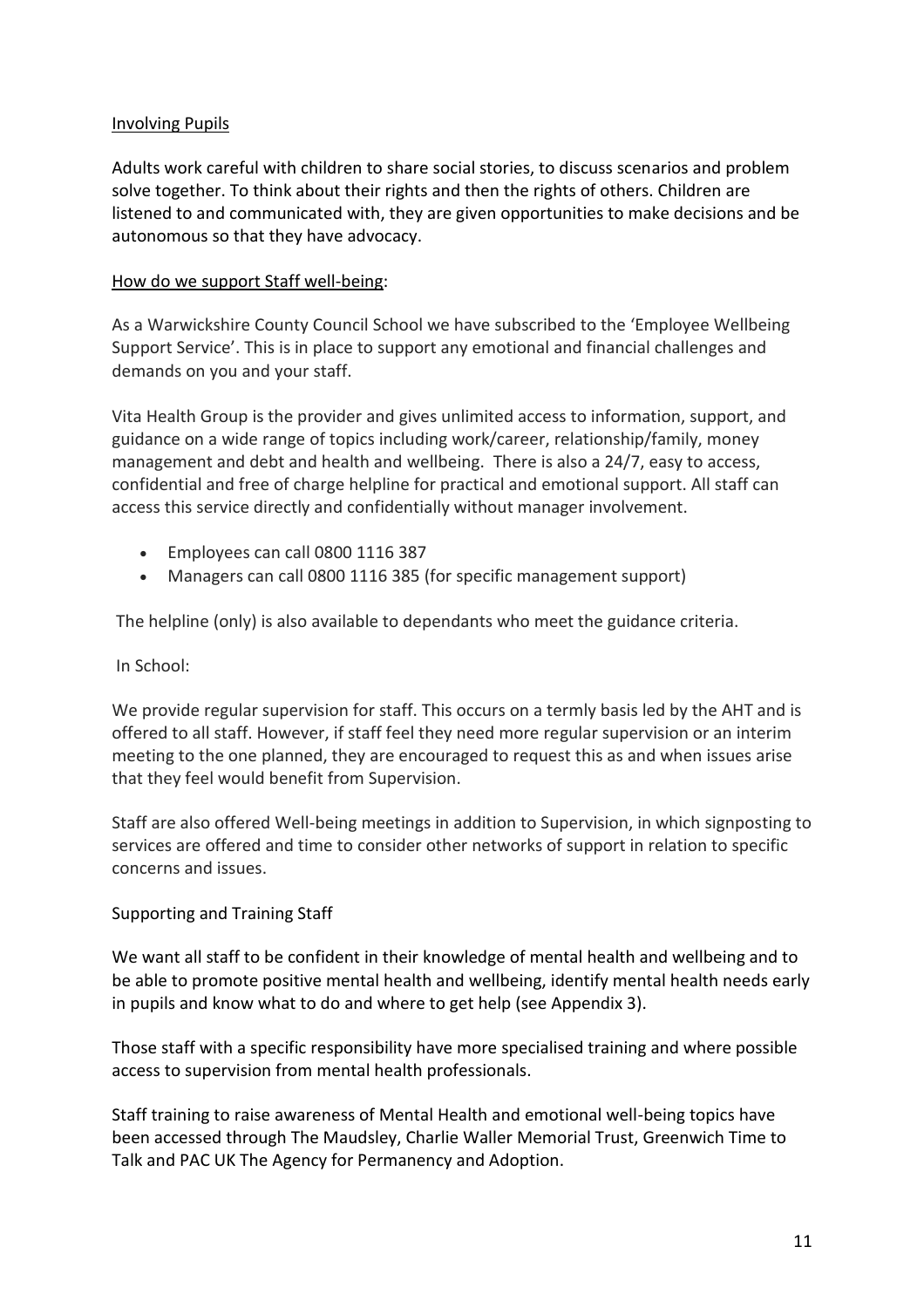#### Involving Pupils

Adults work careful with children to share social stories, to discuss scenarios and problem solve together. To think about their rights and then the rights of others. Children are listened to and communicated with, they are given opportunities to make decisions and be autonomous so that they have advocacy.

#### How do we support Staff well-being:

As a Warwickshire County Council School we have subscribed to the 'Employee Wellbeing Support Service'. This is in place to support any emotional and financial challenges and demands on you and your staff.

Vita Health Group is the provider and gives unlimited access to information, support, and guidance on a wide range of topics including work/career, relationship/family, money management and debt and health and wellbeing. There is also a 24/7, easy to access, confidential and free of charge helpline for practical and emotional support. All staff can access this service directly and confidentially without manager involvement.

- Employees can call 0800 1116 387
- Managers can call 0800 1116 385 (for specific management support)

The helpline (only) is also available to dependants who meet the guidance criteria.

#### In School:

We provide regular supervision for staff. This occurs on a termly basis led by the AHT and is offered to all staff. However, if staff feel they need more regular supervision or an interim meeting to the one planned, they are encouraged to request this as and when issues arise that they feel would benefit from Supervision.

Staff are also offered Well-being meetings in addition to Supervision, in which signposting to services are offered and time to consider other networks of support in relation to specific concerns and issues.

#### Supporting and Training Staff

We want all staff to be confident in their knowledge of mental health and wellbeing and to be able to promote positive mental health and wellbeing, identify mental health needs early in pupils and know what to do and where to get help (see Appendix 3).

Those staff with a specific responsibility have more specialised training and where possible access to supervision from mental health professionals.

Staff training to raise awareness of Mental Health and emotional well-being topics have been accessed through The Maudsley, Charlie Waller Memorial Trust, Greenwich Time to Talk and PAC UK The Agency for Permanency and Adoption.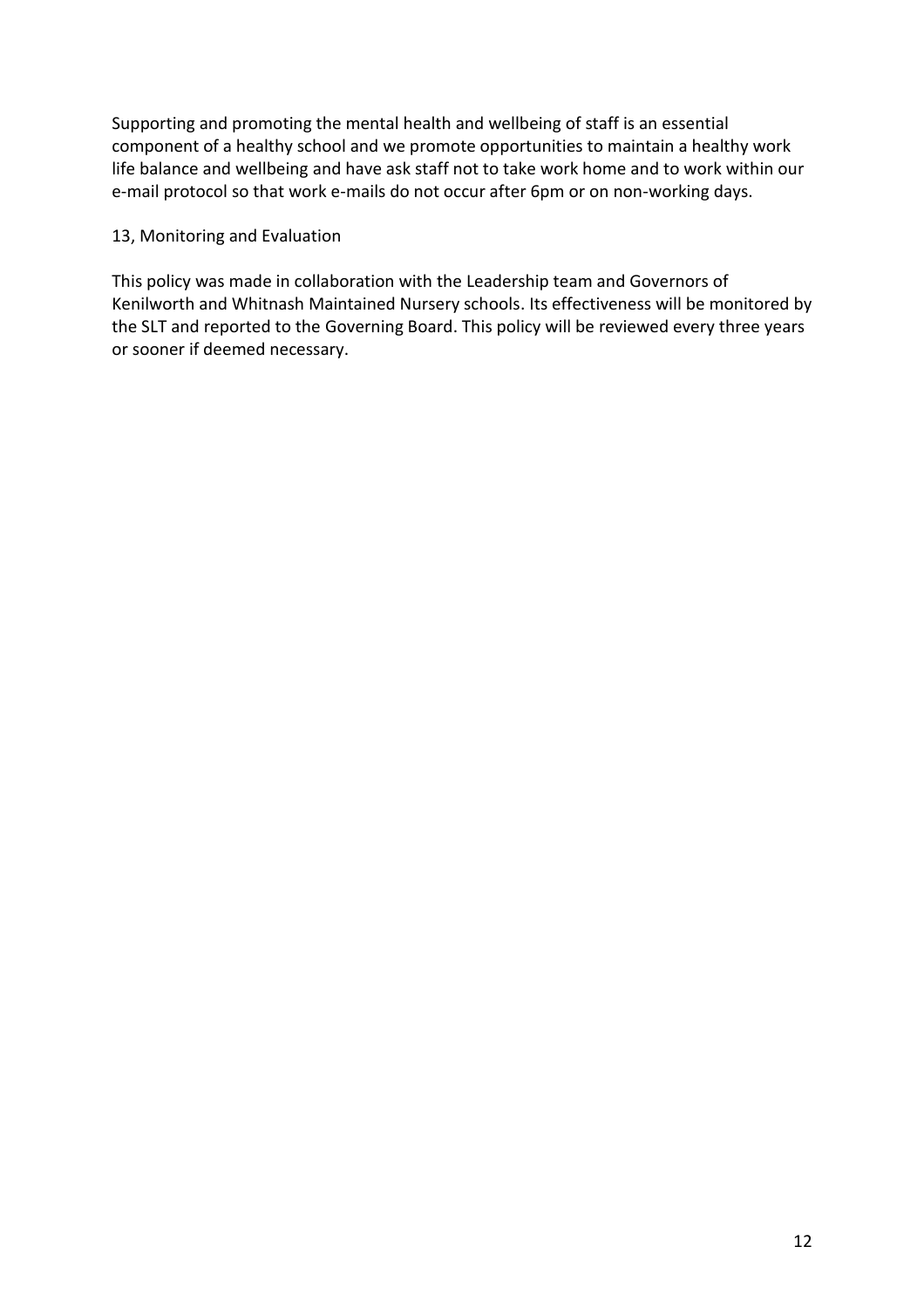Supporting and promoting the mental health and wellbeing of staff is an essential component of a healthy school and we promote opportunities to maintain a healthy work life balance and wellbeing and have ask staff not to take work home and to work within our e-mail protocol so that work e-mails do not occur after 6pm or on non-working days.

#### 13, Monitoring and Evaluation

This policy was made in collaboration with the Leadership team and Governors of Kenilworth and Whitnash Maintained Nursery schools. Its effectiveness will be monitored by the SLT and reported to the Governing Board. This policy will be reviewed every three years or sooner if deemed necessary.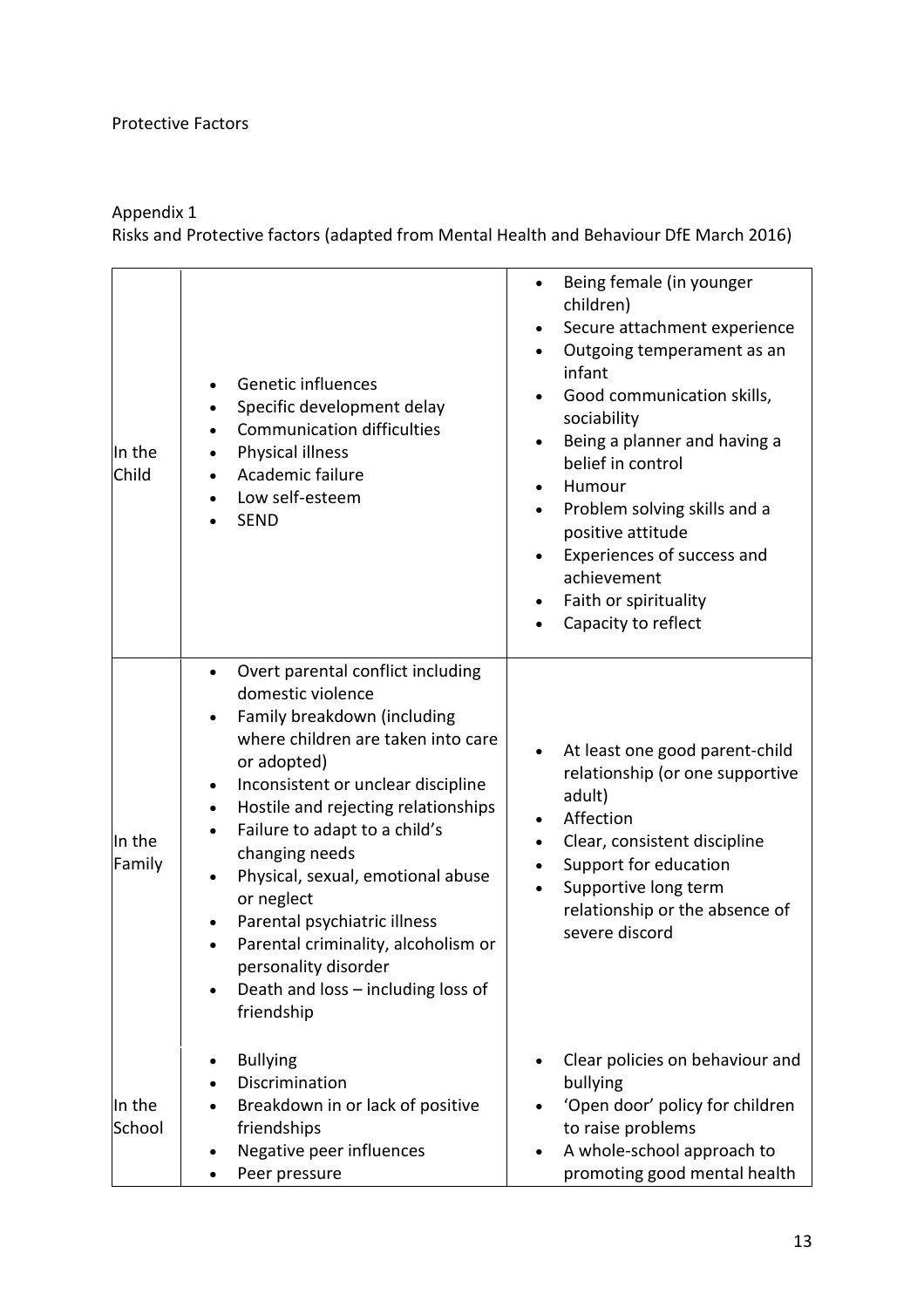#### Protective Factors

#### Appendix 1

Risks and Protective factors (adapted from Mental Health and Behaviour DfE March 2016)

| In the<br>Child  | Genetic influences<br>Specific development delay<br>$\bullet$<br><b>Communication difficulties</b><br>٠<br>Physical illness<br>$\bullet$<br>Academic failure<br>$\bullet$<br>Low self-esteem<br>$\bullet$<br><b>SEND</b>                                                                                                                                                                                                                                                                                                | Being female (in younger<br>children)<br>Secure attachment experience<br>Outgoing temperament as an<br>infant<br>Good communication skills,<br>sociability<br>Being a planner and having a<br>belief in control<br>Humour<br>$\bullet$<br>Problem solving skills and a<br>positive attitude<br>Experiences of success and<br>achievement<br>Faith or spirituality<br>Capacity to reflect |
|------------------|-------------------------------------------------------------------------------------------------------------------------------------------------------------------------------------------------------------------------------------------------------------------------------------------------------------------------------------------------------------------------------------------------------------------------------------------------------------------------------------------------------------------------|------------------------------------------------------------------------------------------------------------------------------------------------------------------------------------------------------------------------------------------------------------------------------------------------------------------------------------------------------------------------------------------|
| In the<br>Family | Overt parental conflict including<br>$\bullet$<br>domestic violence<br>Family breakdown (including<br>where children are taken into care<br>or adopted)<br>Inconsistent or unclear discipline<br>$\bullet$<br>Hostile and rejecting relationships<br>$\bullet$<br>Failure to adapt to a child's<br>changing needs<br>Physical, sexual, emotional abuse<br>or neglect<br>Parental psychiatric illness<br>Parental criminality, alcoholism or<br>personality disorder<br>Death and loss - including loss of<br>friendship | At least one good parent-child<br>relationship (or one supportive<br>adult)<br>Affection<br>Clear, consistent discipline<br>Support for education<br>$\bullet$<br>Supportive long term<br>relationship or the absence of<br>severe discord                                                                                                                                               |
| In the<br>School | <b>Bullying</b><br>٠<br>Discrimination<br>Breakdown in or lack of positive<br>friendships<br>Negative peer influences<br>Peer pressure                                                                                                                                                                                                                                                                                                                                                                                  | Clear policies on behaviour and<br>bullying<br>'Open door' policy for children<br>to raise problems<br>A whole-school approach to<br>promoting good mental health                                                                                                                                                                                                                        |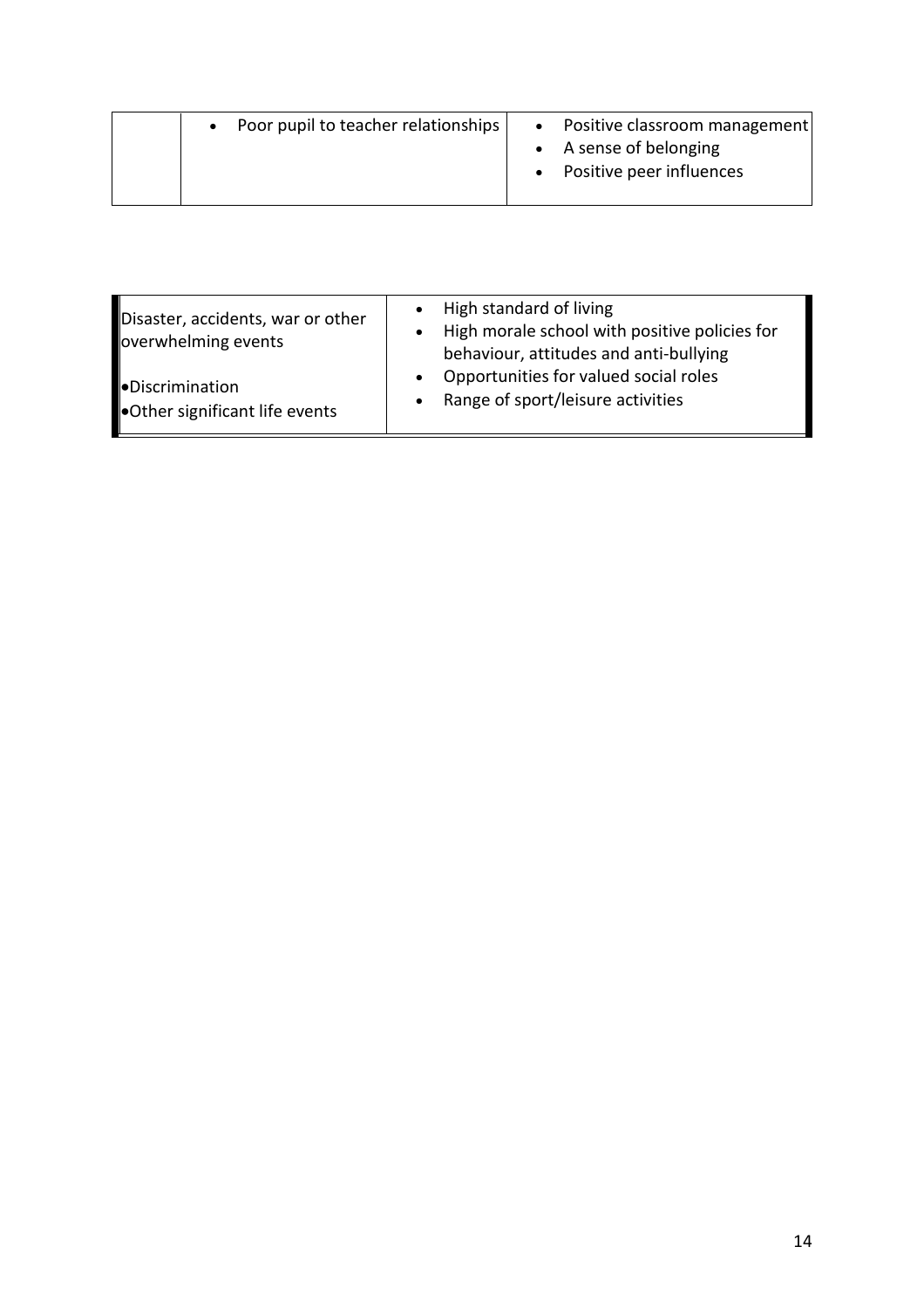| • Poor pupil to teacher relationships | • Positive classroom management<br>• A sense of belonging<br>• Positive peer influences |
|---------------------------------------|-----------------------------------------------------------------------------------------|
|                                       |                                                                                         |

| Disaster, accidents, war or other<br>overwhelming events      | High standard of living<br>$\bullet$<br>High morale school with positive policies for<br>behaviour, attitudes and anti-bullying<br>Opportunities for valued social roles<br>Range of sport/leisure activities<br>$\bullet$ |
|---------------------------------------------------------------|----------------------------------------------------------------------------------------------------------------------------------------------------------------------------------------------------------------------------|
| <b>Discrimination</b><br><b>Other significant life events</b> |                                                                                                                                                                                                                            |